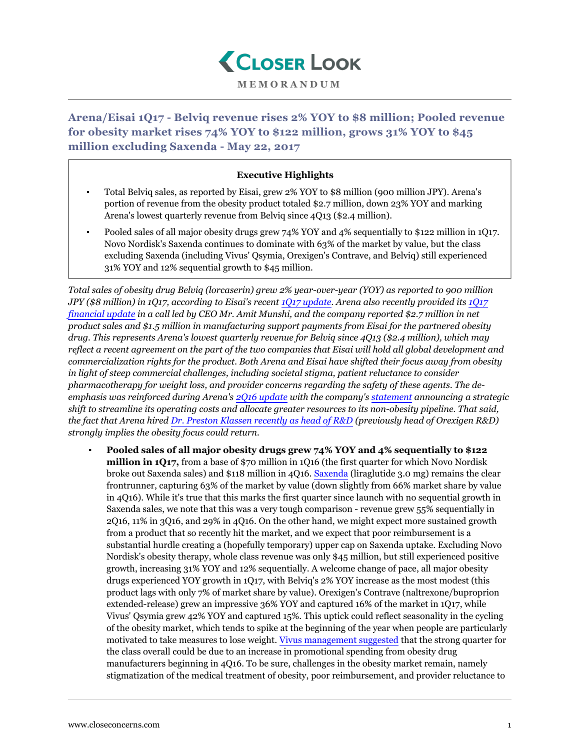

**Arena/Eisai 1Q17 - Belviq revenue rises 2% YOY to \$8 million; Pooled revenue for obesity market rises 74% YOY to \$122 million, grows 31% YOY to \$45 million excluding Saxenda - May 22, 2017**

## **Executive Highlights**

- Total Belviq sales, as reported by Eisai, grew 2% YOY to \$8 million (900 million JPY). Arena's portion of revenue from the obesity product totaled \$2.7 million, down 23% YOY and marking Arena's lowest quarterly revenue from Belviq since 4Q13 (\$2.4 million).
- Pooled sales of all major obesity drugs grew 74% YOY and 4% sequentially to \$122 million in 1Q17. Novo Nordisk's Saxenda continues to dominate with 63% of the market by value, but the class excluding Saxenda (including Vivus' Qsymia, Orexigen's Contrave, and Belviq) still experienced 31% YOY and 12% sequential growth to \$45 million.

*Total sales of obesity drug Belviq (lorcaserin) grew 2% year-over-year (YOY) as reported to 900 million JPY (\$8 million) in 1Q17, according to Eisai's recent [1Q17 update.](http://www.eisai.com/pdf/eir/emat/e4523_170510.pdf) Arena also recently provided its [1Q17](http://invest.arenapharm.com/releasedetail.cfm?ReleaseID=1025614) [financial update](http://invest.arenapharm.com/releasedetail.cfm?ReleaseID=1025614) in a call led by CEO Mr. Amit Munshi, and the company reported \$2.7 million in net product sales and \$1.5 million in manufacturing support payments from Eisai for the partnered obesity drug. This represents Arena's lowest quarterly revenue for Belviq since 4Q13 (\$2.4 million), which may reflect a recent agreement on the part of the two companies that Eisai will hold all global development and commercialization rights for the product. Both Arena and Eisai have shifted their focus away from obesity in light of steep commercial challenges, including societal stigma, patient reluctance to consider pharmacotherapy for weight loss, and provider concerns regarding the safety of these agents. The deemphasis was reinforced during Arena's [2Q16 update](https://www.closeconcerns.com/knowledgebase/r/2bf67bc2) with the company's [statement](https://www.closeconcerns.com/knowledgebase/r/statement) announcing a strategic shift to streamline its operating costs and allocate greater resources to its non-obesity pipeline. That said, the fact that Arena hired [Dr. Preston Klassen recently as head of R&D](https://www.closeconcerns.com/knowledgebase/r/26b93d00) (previously head of Orexigen R&D) strongly implies the obesity focus could return.*

▪ **Pooled sales of all major obesity drugs grew 74% YOY and 4% sequentially to \$122 million in 1Q17,** from a base of \$70 million in 1Q16 (the first quarter for which Novo Nordisk broke out Saxenda sales) and \$118 million in 4Q16. [Saxenda](https://www.closeconcerns.com/knowledgebase/r/e79d1ce5#Saxenda_Sales_Flat_Sequentially_Up_100_YOY_from_a_Low_Base) (liraglutide 3.0 mg) remains the clear frontrunner, capturing 63% of the market by value (down slightly from 66% market share by value in 4Q16). While it's true that this marks the first quarter since launch with no sequential growth in Saxenda sales, we note that this was a very tough comparison - revenue grew 55% sequentially in 2Q16, 11% in 3Q16, and 29% in 4Q16. On the other hand, we might expect more sustained growth from a product that so recently hit the market, and we expect that poor reimbursement is a substantial hurdle creating a (hopefully temporary) upper cap on Saxenda uptake. Excluding Novo Nordisk's obesity therapy, whole class revenue was only \$45 million, but still experienced positive growth, increasing 31% YOY and 12% sequentially. A welcome change of pace, all major obesity drugs experienced YOY growth in 1Q17, with Belviq's 2% YOY increase as the most modest (this product lags with only 7% of market share by value). Orexigen's Contrave (naltrexone/buproprion extended-release) grew an impressive 36% YOY and captured 16% of the market in 1Q17, while Vivus' Qsymia grew 42% YOY and captured 15%. This uptick could reflect seasonality in the cycling of the obesity market, which tends to spike at the beginning of the year when people are particularly motivated to take measures to lose weight. [Vivus management suggested](https://www.closeconcerns.com/knowledgebase/r/94f15b95) that the strong quarter for the class overall could be due to an increase in promotional spending from obesity drug manufacturers beginning in 4Q16. To be sure, challenges in the obesity market remain, namely stigmatization of the medical treatment of obesity, poor reimbursement, and provider reluctance to